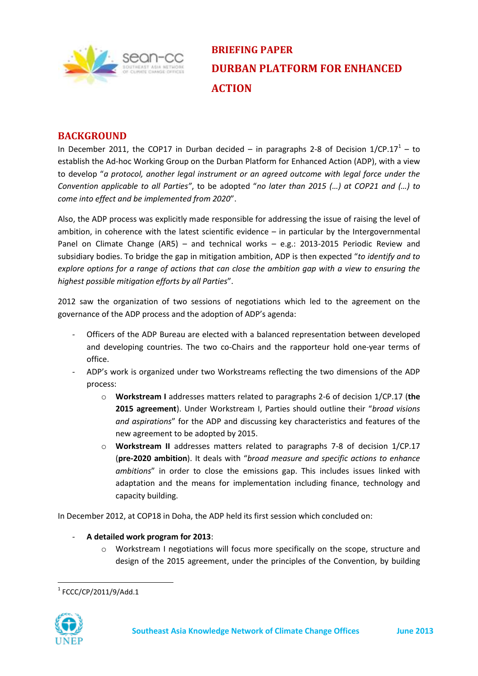

**BRIEFING PAPER DURBAN PLATFORM FOR ENHANCED ACTION**

# **BACKGROUND**

In December 2011, the COP17 in Durban decided  $-$  in paragraphs 2-8 of Decision 1/CP.17<sup>1</sup> – to establish the Ad-hoc Working Group on the Durban Platform for Enhanced Action (ADP), with a view to develop "*a protocol, another legal instrument or an agreed outcome with legal force under the Convention applicable to all Parties"*, to be adopted "*no later than 2015 (…) at COP21 and (…) to come into effect and be implemented from 2020*".

Also, the ADP process was explicitly made responsible for addressing the issue of raising the level of ambition, in coherence with the latest scientific evidence – in particular by the Intergovernmental Panel on Climate Change (AR5) – and technical works – e.g.: 2013-2015 Periodic Review and subsidiary bodies. To bridge the gap in mitigation ambition, ADP is then expected "*to identify and to explore options for a range of actions that can close the ambition gap with a view to ensuring the highest possible mitigation efforts by all Parties*".

2012 saw the organization of two sessions of negotiations which led to the agreement on the governance of the ADP process and the adoption of ADP's agenda:

- *-* Officers of the ADP Bureau are elected with a balanced representation between developed and developing countries. The two co-Chairs and the rapporteur hold one-year terms of office.
- *-* ADP's work is organized under two Workstreams reflecting the two dimensions of the ADP process:
	- o **Workstream I** addresses matters related to paragraphs 2-6 of decision 1/CP.17 (**the 2015 agreement**). Under Workstream I, Parties should outline their "*broad visions and aspirations*" for the ADP and discussing key characteristics and features of the new agreement to be adopted by 2015.
	- o **Workstream II** addresses matters related to paragraphs 7-8 of decision 1/CP.17 (**pre-2020 ambition**). It deals with "*broad measure and specific actions to enhance ambitions*" in order to close the emissions gap. This includes issues linked with adaptation and the means for implementation including finance, technology and capacity building.

In December 2012, at COP18 in Doha, the ADP held its first session which concluded on:

- *-* **A detailed work program for 2013**:
	- o Workstream I negotiations will focus more specifically on the scope, structure and design of the 2015 agreement, under the principles of the Convention, by building

 $1$  FCCC/CP/2011/9/Add.1



1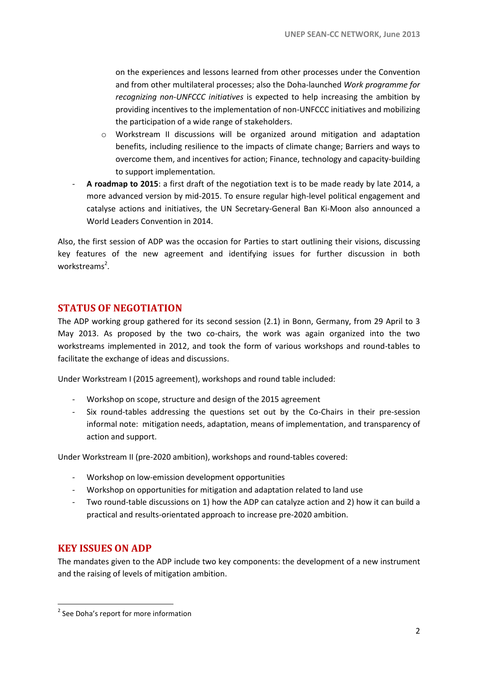on the experiences and lessons learned from other processes under the Convention and from other multilateral processes; also the Doha-launched *Work programme for recognizing non-UNFCCC initiatives* is expected to help increasing the ambition by providing incentives to the implementation of non-UNFCCC initiatives and mobilizing the participation of a wide range of stakeholders.

- o Workstream II discussions will be organized around mitigation and adaptation benefits, including resilience to the impacts of climate change; Barriers and ways to overcome them, and incentives for action; Finance, technology and capacity-building to support implementation.
- *-* **A roadmap to 2015**: a first draft of the negotiation text is to be made ready by late 2014, a more advanced version by mid-2015. To ensure regular high-level political engagement and catalyse actions and initiatives, the UN Secretary-General Ban Ki-Moon also announced a World Leaders Convention in 2014.

Also, the first session of ADP was the occasion for Parties to start outlining their visions, discussing key features of the new agreement and identifying issues for further discussion in both workstreams<sup>2</sup>.

# **STATUS OF NEGOTIATION**

The ADP working group gathered for its second session (2.1) in Bonn, Germany, from 29 April to 3 May 2013. As proposed by the two co-chairs, the work was again organized into the two workstreams implemented in 2012, and took the form of various workshops and round-tables to facilitate the exchange of ideas and discussions.

Under Workstream I (2015 agreement), workshops and round table included:

- *-* Workshop on scope, structure and design of the 2015 agreement
- *-* Six round-tables addressing the questions set out by the Co-Chairs in their pre-session informal note: mitigation needs, adaptation, means of implementation, and transparency of action and support.

Under Workstream II (pre-2020 ambition), workshops and round-tables covered:

- *-* Workshop on low-emission development opportunities
- *-* Workshop on opportunities for mitigation and adaptation related to land use
- *-* Two round-table discussions on 1) how the ADP can catalyze action and 2) how it can build a practical and results-orientated approach to increase pre-2020 ambition.

# **KEY ISSUES ON ADP**

**.** 

The mandates given to the ADP include two key components: the development of a new instrument and the raising of levels of mitigation ambition.

<sup>&</sup>lt;sup>2</sup> See Doha's report for more information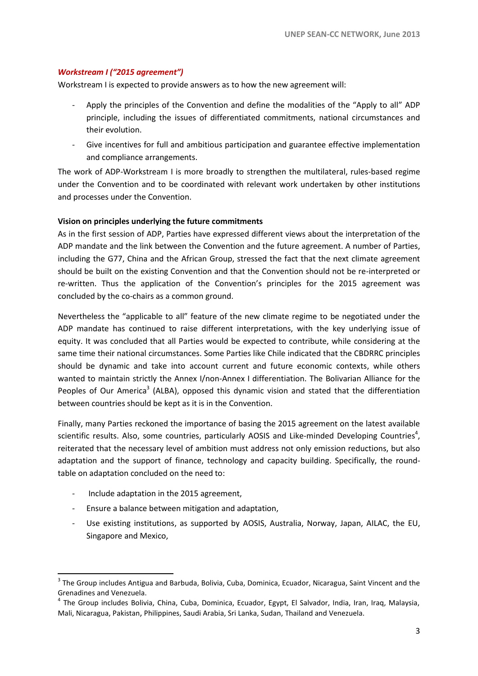### *Workstream I ("2015 agreement")*

Workstream I is expected to provide answers as to how the new agreement will:

- *-* Apply the principles of the Convention and define the modalities of the "Apply to all" ADP principle, including the issues of differentiated commitments, national circumstances and their evolution.
- *-* Give incentives for full and ambitious participation and guarantee effective implementation and compliance arrangements.

The work of ADP-Workstream I is more broadly to strengthen the multilateral, rules-based regime under the Convention and to be coordinated with relevant work undertaken by other institutions and processes under the Convention.

#### **Vision on principles underlying the future commitments**

As in the first session of ADP, Parties have expressed different views about the interpretation of the ADP mandate and the link between the Convention and the future agreement. A number of Parties, including the G77, China and the African Group, stressed the fact that the next climate agreement should be built on the existing Convention and that the Convention should not be re-interpreted or re-written. Thus the application of the Convention's principles for the 2015 agreement was concluded by the co-chairs as a common ground.

Nevertheless the "applicable to all" feature of the new climate regime to be negotiated under the ADP mandate has continued to raise different interpretations, with the key underlying issue of equity. It was concluded that all Parties would be expected to contribute, while considering at the same time their national circumstances. Some Parties like Chile indicated that the CBDRRC principles should be dynamic and take into account current and future economic contexts, while others wanted to maintain strictly the Annex I/non-Annex I differentiation. The Bolivarian Alliance for the Peoples of Our America<sup>3</sup> (ALBA), opposed this dynamic vision and stated that the differentiation between countries should be kept as it is in the Convention.

Finally, many Parties reckoned the importance of basing the 2015 agreement on the latest available scientific results. Also, some countries, particularly AOSIS and Like-minded Developing Countries<sup>4</sup>, reiterated that the necessary level of ambition must address not only emission reductions, but also adaptation and the support of finance, technology and capacity building. Specifically, the roundtable on adaptation concluded on the need to:

*-* Include adaptation in the 2015 agreement,

**.** 

- *-* Ensure a balance between mitigation and adaptation,
- *-* Use existing institutions, as supported by AOSIS, Australia, Norway, Japan, AILAC, the EU, Singapore and Mexico,

<sup>&</sup>lt;sup>3</sup> The Group includes [Antigua and Barbuda,](http://en.wikipedia.org/wiki/Antigua_and_Barbuda) [Bolivia,](http://en.wikipedia.org/wiki/Bolivia) [Cuba,](http://en.wikipedia.org/wiki/Cuba) [Dominica,](http://en.wikipedia.org/wiki/Dominica) [Ecuador,](http://en.wikipedia.org/wiki/Ecuador) [Nicaragua,](http://en.wikipedia.org/wiki/Nicaragua) Saint Vincent and the [Grenadines](http://en.wikipedia.org/wiki/Saint_Vincent_and_the_Grenadines) an[d Venezuela.](http://en.wikipedia.org/wiki/Venezuela)

<sup>4</sup> The Group includes Bolivia, China, Cuba, Dominica, Ecuador, Egypt, El Salvador, India, Iran, Iraq, Malaysia, Mali, Nicaragua, Pakistan, Philippines, Saudi Arabia, Sri Lanka, Sudan, Thailand and Venezuela.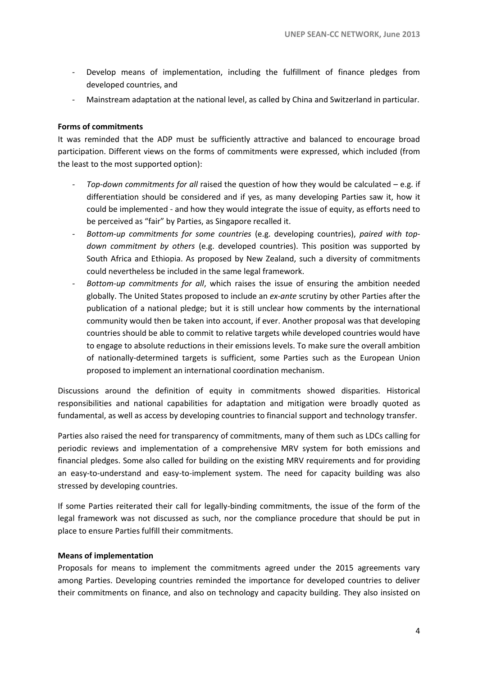- *-* Develop means of implementation, including the fulfillment of finance pledges from developed countries, and
- *-* Mainstream adaptation at the national level, as called by China and Switzerland in particular.

#### **Forms of commitments**

It was reminded that the ADP must be sufficiently attractive and balanced to encourage broad participation. Different views on the forms of commitments were expressed, which included (from the least to the most supported option):

- *- Top-down commitments for all* raised the question of how they would be calculated e.g. if differentiation should be considered and if yes, as many developing Parties saw it, how it could be implemented - and how they would integrate the issue of equity, as efforts need to be perceived as "fair" by Parties, as Singapore recalled it.
- *- Bottom-up commitments for some countries* (e.g. developing countries), *paired with topdown commitment by others* (e.g. developed countries). This position was supported by South Africa and Ethiopia. As proposed by New Zealand, such a diversity of commitments could nevertheless be included in the same legal framework.
- *- Bottom-up commitments for all*, which raises the issue of ensuring the ambition needed globally. The United States proposed to include an *ex-ante* scrutiny by other Parties after the publication of a national pledge; but it is still unclear how comments by the international community would then be taken into account, if ever. Another proposal was that developing countries should be able to commit to relative targets while developed countries would have to engage to absolute reductions in their emissions levels. To make sure the overall ambition of nationally-determined targets is sufficient, some Parties such as the European Union proposed to implement an international coordination mechanism.

Discussions around the definition of equity in commitments showed disparities. Historical responsibilities and national capabilities for adaptation and mitigation were broadly quoted as fundamental, as well as access by developing countries to financial support and technology transfer.

Parties also raised the need for transparency of commitments, many of them such as LDCs calling for periodic reviews and implementation of a comprehensive MRV system for both emissions and financial pledges. Some also called for building on the existing MRV requirements and for providing an easy-to-understand and easy-to-implement system. The need for capacity building was also stressed by developing countries.

If some Parties reiterated their call for legally-binding commitments, the issue of the form of the legal framework was not discussed as such, nor the compliance procedure that should be put in place to ensure Parties fulfill their commitments.

### **Means of implementation**

Proposals for means to implement the commitments agreed under the 2015 agreements vary among Parties. Developing countries reminded the importance for developed countries to deliver their commitments on finance, and also on technology and capacity building. They also insisted on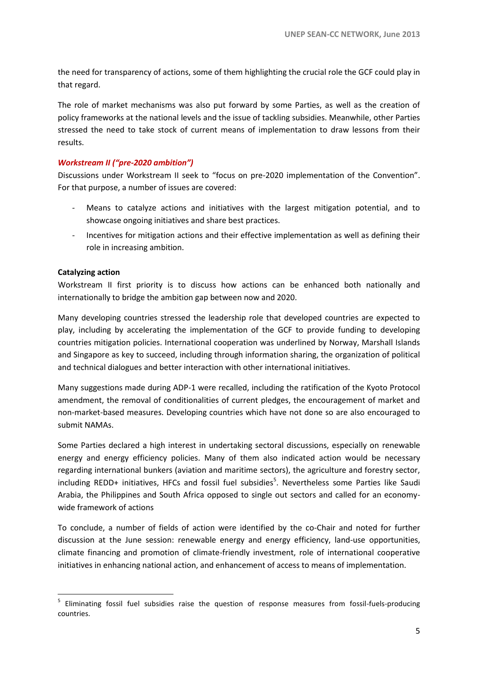the need for transparency of actions, some of them highlighting the crucial role the GCF could play in that regard.

The role of market mechanisms was also put forward by some Parties, as well as the creation of policy frameworks at the national levels and the issue of tackling subsidies. Meanwhile, other Parties stressed the need to take stock of current means of implementation to draw lessons from their results.

### *Workstream II ("pre-2020 ambition")*

Discussions under Workstream II seek to "focus on pre-2020 implementation of the Convention". For that purpose, a number of issues are covered:

- *-* Means to catalyze actions and initiatives with the largest mitigation potential, and to showcase ongoing initiatives and share best practices.
- *-* Incentives for mitigation actions and their effective implementation as well as defining their role in increasing ambition.

#### **Catalyzing action**

1

Workstream II first priority is to discuss how actions can be enhanced both nationally and internationally to bridge the ambition gap between now and 2020.

Many developing countries stressed the leadership role that developed countries are expected to play, including by accelerating the implementation of the GCF to provide funding to developing countries mitigation policies. International cooperation was underlined by Norway, Marshall Islands and Singapore as key to succeed, including through information sharing, the organization of political and technical dialogues and better interaction with other international initiatives.

Many suggestions made during ADP-1 were recalled, including the ratification of the Kyoto Protocol amendment, the removal of conditionalities of current pledges, the encouragement of market and non-market-based measures. Developing countries which have not done so are also encouraged to submit NAMAs.

Some Parties declared a high interest in undertaking sectoral discussions, especially on renewable energy and energy efficiency policies. Many of them also indicated action would be necessary regarding international bunkers (aviation and maritime sectors), the agriculture and forestry sector, including REDD+ initiatives, HFCs and fossil fuel subsidies<sup>5</sup>. Nevertheless some Parties like Saudi Arabia, the Philippines and South Africa opposed to single out sectors and called for an economywide framework of actions

To conclude, a number of fields of action were identified by the co-Chair and noted for further discussion at the June session: renewable energy and energy efficiency, land-use opportunities, climate financing and promotion of climate-friendly investment, role of international cooperative initiatives in enhancing national action, and enhancement of access to means of implementation.

<sup>&</sup>lt;sup>5</sup> Eliminating fossil fuel subsidies raise the question of response measures from fossil-fuels-producing countries.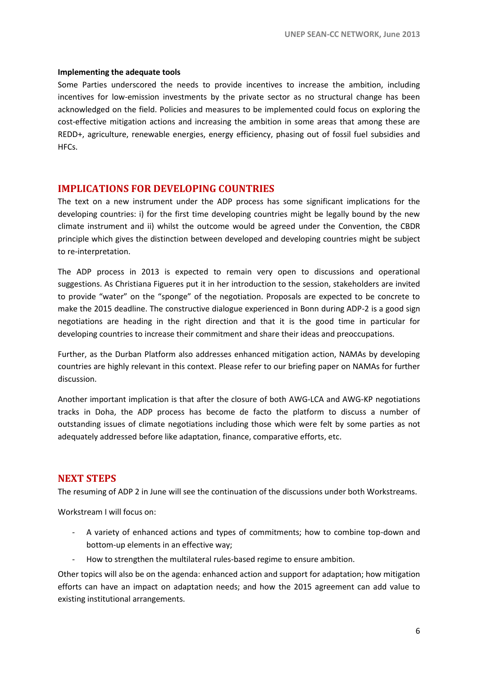#### **Implementing the adequate tools**

Some Parties underscored the needs to provide incentives to increase the ambition, including incentives for low-emission investments by the private sector as no structural change has been acknowledged on the field. Policies and measures to be implemented could focus on exploring the cost-effective mitigation actions and increasing the ambition in some areas that among these are REDD+, agriculture, renewable energies, energy efficiency, phasing out of fossil fuel subsidies and HFCs.

### **IMPLICATIONS FOR DEVELOPING COUNTRIES**

The text on a new instrument under the ADP process has some significant implications for the developing countries: i) for the first time developing countries might be legally bound by the new climate instrument and ii) whilst the outcome would be agreed under the Convention, the CBDR principle which gives the distinction between developed and developing countries might be subject to re-interpretation.

The ADP process in 2013 is expected to remain very open to discussions and operational suggestions. As Christiana Figueres put it in her introduction to the session, stakeholders are invited to provide "water" on the "sponge" of the negotiation. Proposals are expected to be concrete to make the 2015 deadline. The constructive dialogue experienced in Bonn during ADP-2 is a good sign negotiations are heading in the right direction and that it is the good time in particular for developing countries to increase their commitment and share their ideas and preoccupations.

Further, as the Durban Platform also addresses enhanced mitigation action, NAMAs by developing countries are highly relevant in this context. Please refer to our briefing paper on NAMAs for further discussion.

Another important implication is that after the closure of both AWG-LCA and AWG-KP negotiations tracks in Doha, the ADP process has become de facto the platform to discuss a number of outstanding issues of climate negotiations including those which were felt by some parties as not adequately addressed before like adaptation, finance, comparative efforts, etc.

### **NEXT STEPS**

The resuming of ADP 2 in June will see the continuation of the discussions under both Workstreams.

Workstream I will focus on:

- *-* A variety of enhanced actions and types of commitments; how to combine top-down and bottom-up elements in an effective way;
- *-* How to strengthen the multilateral rules-based regime to ensure ambition.

Other topics will also be on the agenda: enhanced action and support for adaptation; how mitigation efforts can have an impact on adaptation needs; and how the 2015 agreement can add value to existing institutional arrangements.